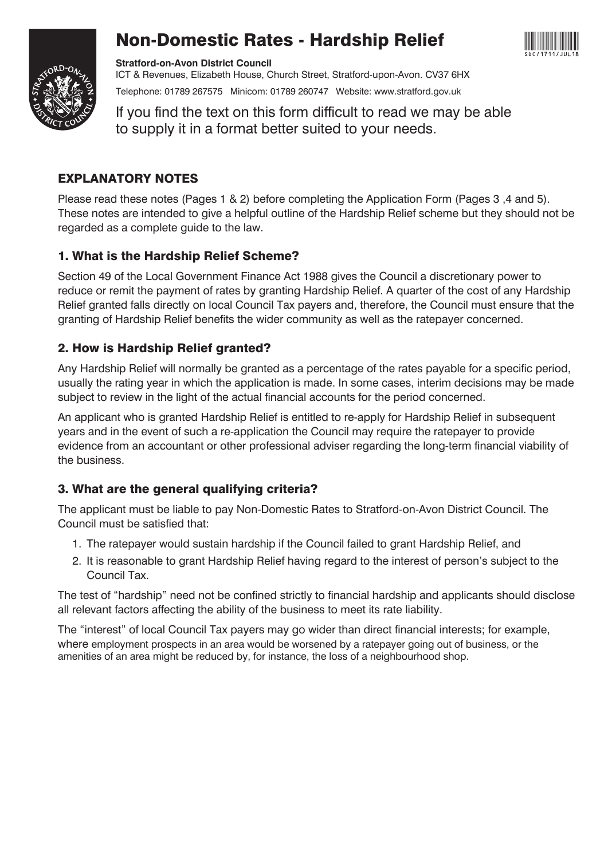





**Stratford-on-Avon District Council** ICT & Revenues, Elizabeth House, Church Street, Stratford-upon-Avon. CV37 6HX Telephone: 01789 267575 Minicom: 01789 260747 Website: www.stratford.gov.uk

If you find the text on this form difficult to read we may be able to supply it in a format better suited to your needs.

## EXPLANATORY NOTES

Please read these notes (Pages 1 & 2) before completing the Application Form (Pages 3 ,4 and 5). These notes are intended to give a helpful outline of the Hardship Relief scheme but they should not be regarded as a complete guide to the law.

## 1. What is the Hardship Relief Scheme?

Section 49 of the Local Government Finance Act 1988 gives the Council a discretionary power to reduce or remit the payment of rates by granting Hardship Relief. A quarter of the cost of any Hardship Relief granted falls directly on local Council Tax payers and, therefore, the Council must ensure that the granting of Hardship Relief benefits the wider community as well as the ratepayer concerned.

## 2. How is Hardship Relief granted?

Any Hardship Relief will normally be granted as a percentage of the rates payable for a specific period, usually the rating year in which the application is made. In some cases, interim decisions may be made subject to review in the light of the actual financial accounts for the period concerned.

An applicant who is granted Hardship Relief is entitled to re-apply for Hardship Relief in subsequent years and in the event of such a re-application the Council may require the ratepayer to provide evidence from an accountant or other professional adviser regarding the long-term financial viability of the business.

## 3. What are the general qualifying criteria?

The applicant must be liable to pay Non-Domestic Rates to Stratford-on-Avon District Council. The Council must be satisfied that:

- 1. The ratepayer would sustain hardship if the Council failed to grant Hardship Relief, and
- 2. It is reasonable to grant Hardship Relief having regard to the interest of person's subject to the Council Tax.

The test of "hardship" need not be confined strictly to financial hardship and applicants should disclose all relevant factors affecting the ability of the business to meet its rate liability.

The "interest" of local Council Tax payers may go wider than direct financial interests; for example, where employment prospects in an area would be worsened by a ratepayer going out of business, or the amenities of an area might be reduced by, for instance, the loss of a neighbourhood shop.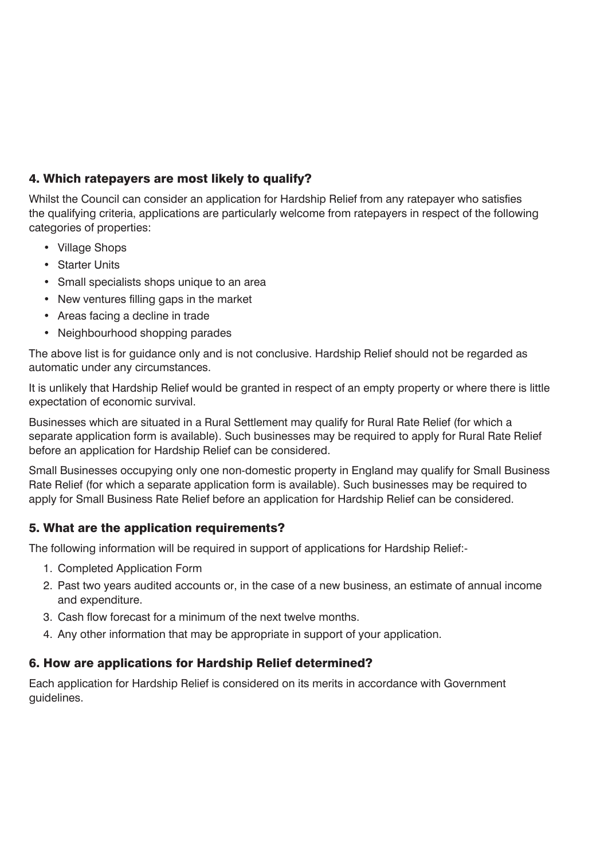## 4. Which ratepayers are most likely to qualify?

Whilst the Council can consider an application for Hardship Relief from any ratepayer who satisfies the qualifying criteria, applications are particularly welcome from ratepayers in respect of the following categories of properties:

- Village Shops
- Starter Units
- Small specialists shops unique to an area
- New ventures filling gaps in the market
- Areas facing a decline in trade
- Neighbourhood shopping parades

The above list is for guidance only and is not conclusive. Hardship Relief should not be regarded as automatic under any circumstances.

It is unlikely that Hardship Relief would be granted in respect of an empty property or where there is little expectation of economic survival.

Businesses which are situated in a Rural Settlement may qualify for Rural Rate Relief (for which a separate application form is available). Such businesses may be required to apply for Rural Rate Relief before an application for Hardship Relief can be considered.

Small Businesses occupying only one non-domestic property in England may qualify for Small Business Rate Relief (for which a separate application form is available). Such businesses may be required to apply for Small Business Rate Relief before an application for Hardship Relief can be considered.

#### 5. What are the application requirements?

The following information will be required in support of applications for Hardship Relief:-

- 1. Completed Application Form
- 2. Past two years audited accounts or, in the case of a new business, an estimate of annual income and expenditure.
- 3. Cash flow forecast for a minimum of the next twelve months.
- 4. Any other information that may be appropriate in support of your application.

#### 6. How are applications for Hardship Relief determined?

Each application for Hardship Relief is considered on its merits in accordance with Government guidelines.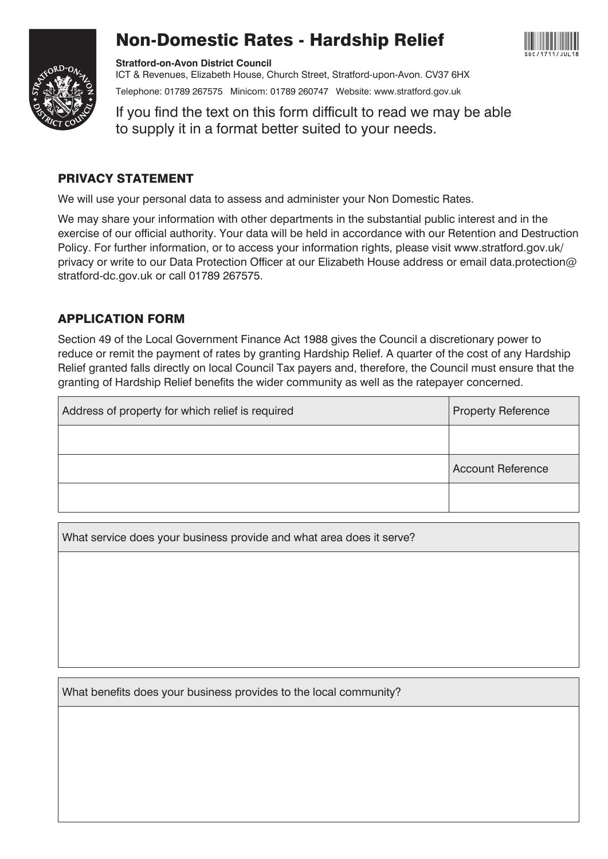

# Non-Domestic Rates - Hardship Relief



**Stratford-on-Avon District Council** ICT & Revenues, Elizabeth House, Church Street, Stratford-upon-Avon. CV37 6HX Telephone: 01789 267575 Minicom: 01789 260747 Website: www.stratford.gov.uk

If you find the text on this form difficult to read we may be able to supply it in a format better suited to your needs.

### PRIVACY STATEMENT

We will use your personal data to assess and administer your Non Domestic Rates.

We may share your information with other departments in the substantial public interest and in the exercise of our official authority. Your data will be held in accordance with our Retention and Destruction Policy. For further information, or to access your information rights, please visit www.stratford.gov.uk/ privacy or write to our Data Protection Officer at our Elizabeth House address or email data.protection@ stratford-dc.gov.uk or call 01789 267575.

## APPLICATION FORM

Section 49 of the Local Government Finance Act 1988 gives the Council a discretionary power to reduce or remit the payment of rates by granting Hardship Relief. A quarter of the cost of any Hardship Relief granted falls directly on local Council Tax payers and, therefore, the Council must ensure that the granting of Hardship Relief benefits the wider community as well as the ratepayer concerned.

| Address of property for which relief is required | <b>Property Reference</b> |  |
|--------------------------------------------------|---------------------------|--|
|                                                  |                           |  |
|                                                  | <b>Account Reference</b>  |  |
|                                                  |                           |  |

What service does your business provide and what area does it serve?

What benefits does your business provides to the local community?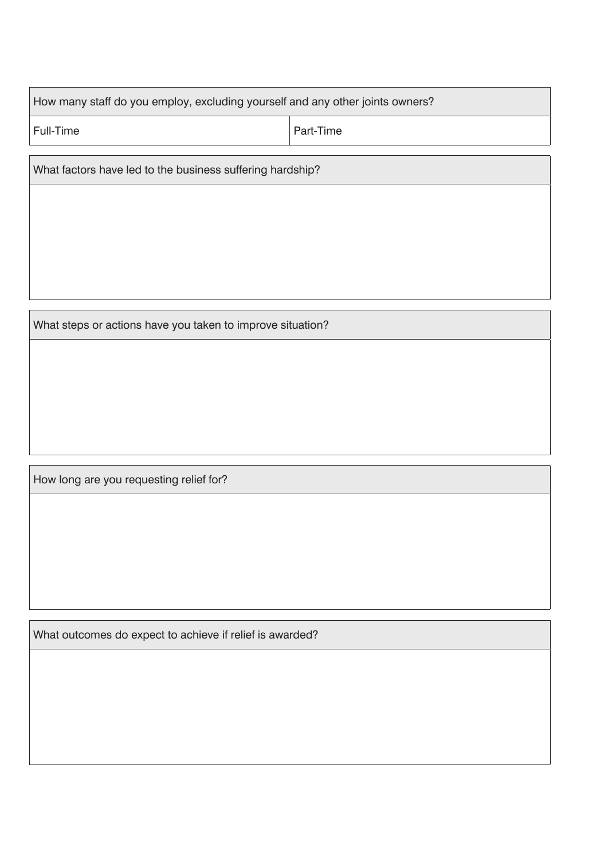|  |  |  | How many staff do you employ, excluding yourself and any other joints owners? |
|--|--|--|-------------------------------------------------------------------------------|
|  |  |  |                                                                               |
|  |  |  |                                                                               |

Full-Time Part-Time

What factors have led to the business suffering hardship?

What steps or actions have you taken to improve situation?

How long are you requesting relief for?

What outcomes do expect to achieve if relief is awarded?